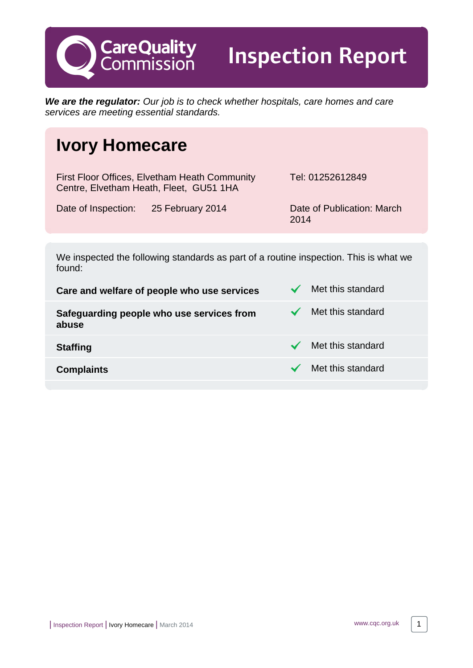**We are the regulator:** Our job is to check whether hospitals, care homes and care services are meeting essential standards.

Inspection Report

2014

# **Ivory Homecare**

**CareQuality**<br>Commission

First Floor Offices, Elvetham Heath Community Centre, Elvetham Heath, Fleet, GU51 1HA Tel: 01252612849 Date of Inspection: 25 February 2014 Date of Publication: March

We inspected the following standards as part of a routine inspection. This is what we found:

**Care and welfare of people who use services**  $\checkmark$  **Met this standard Safeguarding people who use services from abuse** Met this standard **Staffing** Met this standard **Complaints** Complaints **Met this standard** 

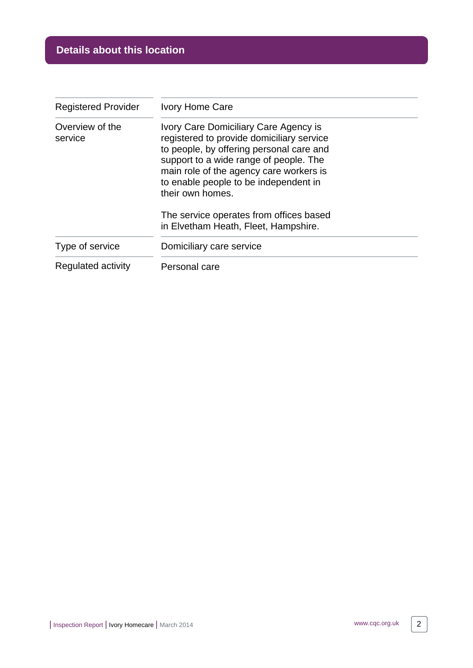| <b>Registered Provider</b> | <b>Ivory Home Care</b>                                                                                                                                                                                                                                                           |
|----------------------------|----------------------------------------------------------------------------------------------------------------------------------------------------------------------------------------------------------------------------------------------------------------------------------|
| Overview of the<br>service | Ivory Care Domiciliary Care Agency is<br>registered to provide domiciliary service<br>to people, by offering personal care and<br>support to a wide range of people. The<br>main role of the agency care workers is<br>to enable people to be independent in<br>their own homes. |
|                            | The service operates from offices based<br>in Elvetham Heath, Fleet, Hampshire.                                                                                                                                                                                                  |
| Type of service            | Domiciliary care service                                                                                                                                                                                                                                                         |
| Regulated activity         | Personal care                                                                                                                                                                                                                                                                    |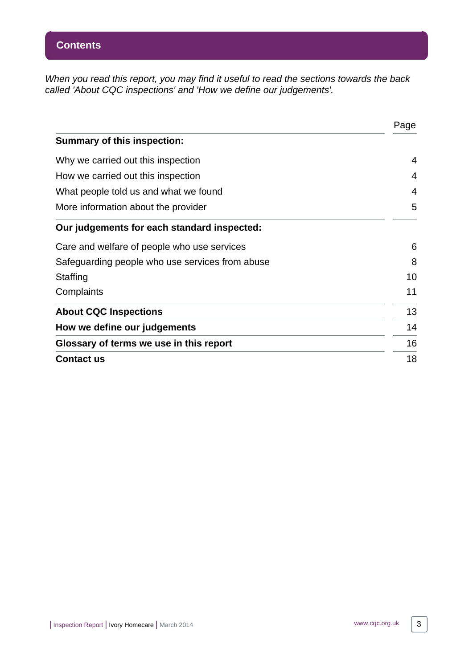When you read this report, you may find it useful to read the sections towards the back called 'About CQC inspections' and 'How we define our judgements'.

|                                                 | Page |
|-------------------------------------------------|------|
| <b>Summary of this inspection:</b>              |      |
| Why we carried out this inspection              | 4    |
| How we carried out this inspection              | 4    |
| What people told us and what we found           | 4    |
| More information about the provider             | 5    |
| Our judgements for each standard inspected:     |      |
| Care and welfare of people who use services     | 6    |
| Safeguarding people who use services from abuse | 8    |
| Staffing                                        | 10   |
| Complaints                                      | 11   |
| <b>About CQC Inspections</b>                    | 13   |
| How we define our judgements                    | 14   |
| Glossary of terms we use in this report         | 16   |
| <b>Contact us</b>                               | 18   |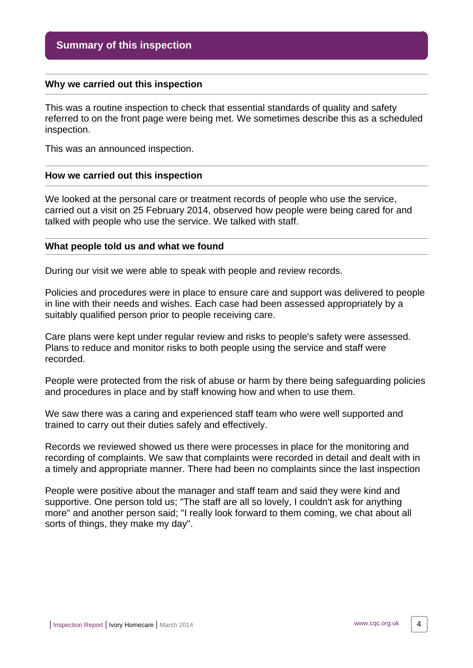#### <span id="page-3-0"></span>**Why we carried out this inspection**

This was a routine inspection to check that essential standards of quality and safety referred to on the front page were being met. We sometimes describe this as a scheduled inspection.

This was an announced inspection.

#### <span id="page-3-1"></span>**How we carried out this inspection**

We looked at the personal care or treatment records of people who use the service, carried out a visit on 25 February 2014, observed how people were being cared for and talked with people who use the service. We talked with staff.

#### <span id="page-3-2"></span>**What people told us and what we found**

During our visit we were able to speak with people and review records.

Policies and procedures were in place to ensure care and support was delivered to people in line with their needs and wishes. Each case had been assessed appropriately by a suitably qualified person prior to people receiving care.

Care plans were kept under regular review and risks to people's safety were assessed. Plans to reduce and monitor risks to both people using the service and staff were recorded.

People were protected from the risk of abuse or harm by there being safeguarding policies and procedures in place and by staff knowing how and when to use them.

We saw there was a caring and experienced staff team who were well supported and trained to carry out their duties safely and effectively.

Records we reviewed showed us there were processes in place for the monitoring and recording of complaints. We saw that complaints were recorded in detail and dealt with in a timely and appropriate manner. There had been no complaints since the last inspection

People were positive about the manager and staff team and said they were kind and supportive. One person told us; "The staff are all so lovely, I couldn't ask for anything more" and another person said; "I really look forward to them coming, we chat about all sorts of things, they make my day".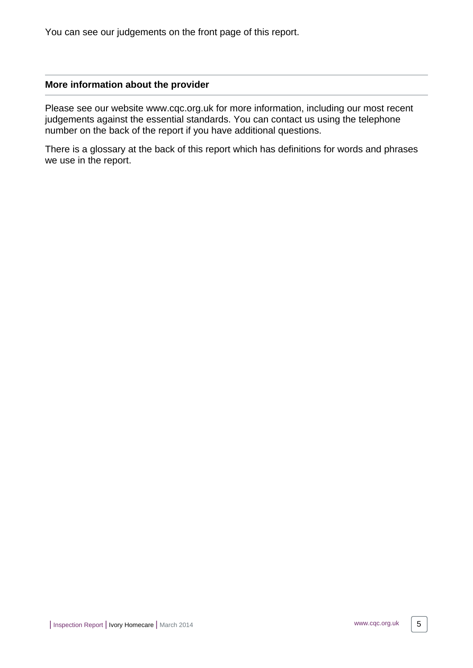You can see our judgements on the front page of this report.

#### <span id="page-4-0"></span>**More information about the provider**

Please see our website www.cqc.org.uk for more information, including our most recent judgements against the essential standards. You can contact us using the telephone number on the back of the report if you have additional questions.

There is a glossary at the back of this report which has definitions for words and phrases we use in the report.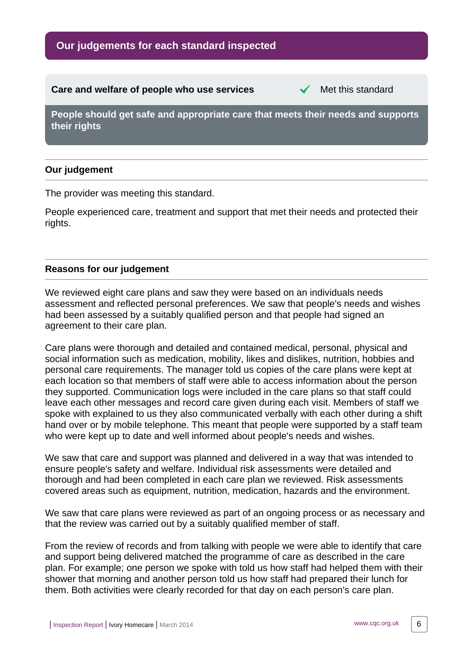#### <span id="page-5-0"></span>**Care and welfare of people who use services** Met this standard

**People should get safe and appropriate care that meets their needs and supports their rights**

# **Our judgement**

The provider was meeting this standard.

People experienced care, treatment and support that met their needs and protected their rights.

### **Reasons for our judgement**

We reviewed eight care plans and saw they were based on an individuals needs assessment and reflected personal preferences. We saw that people's needs and wishes had been assessed by a suitably qualified person and that people had signed an agreement to their care plan.

Care plans were thorough and detailed and contained medical, personal, physical and social information such as medication, mobility, likes and dislikes, nutrition, hobbies and personal care requirements. The manager told us copies of the care plans were kept at each location so that members of staff were able to access information about the person they supported. Communication logs were included in the care plans so that staff could leave each other messages and record care given during each visit. Members of staff we spoke with explained to us they also communicated verbally with each other during a shift hand over or by mobile telephone. This meant that people were supported by a staff team who were kept up to date and well informed about people's needs and wishes.

We saw that care and support was planned and delivered in a way that was intended to ensure people's safety and welfare. Individual risk assessments were detailed and thorough and had been completed in each care plan we reviewed. Risk assessments covered areas such as equipment, nutrition, medication, hazards and the environment.

We saw that care plans were reviewed as part of an ongoing process or as necessary and that the review was carried out by a suitably qualified member of staff.

From the review of records and from talking with people we were able to identify that care and support being delivered matched the programme of care as described in the care plan. For example; one person we spoke with told us how staff had helped them with their shower that morning and another person told us how staff had prepared their lunch for them. Both activities were clearly recorded for that day on each person's care plan.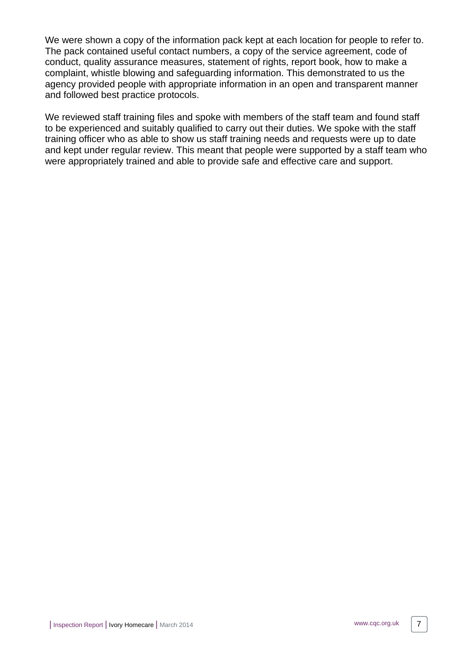We were shown a copy of the information pack kept at each location for people to refer to. The pack contained useful contact numbers, a copy of the service agreement, code of conduct, quality assurance measures, statement of rights, report book, how to make a complaint, whistle blowing and safeguarding information. This demonstrated to us the agency provided people with appropriate information in an open and transparent manner and followed best practice protocols.

We reviewed staff training files and spoke with members of the staff team and found staff to be experienced and suitably qualified to carry out their duties. We spoke with the staff training officer who as able to show us staff training needs and requests were up to date and kept under regular review. This meant that people were supported by a staff team who were appropriately trained and able to provide safe and effective care and support.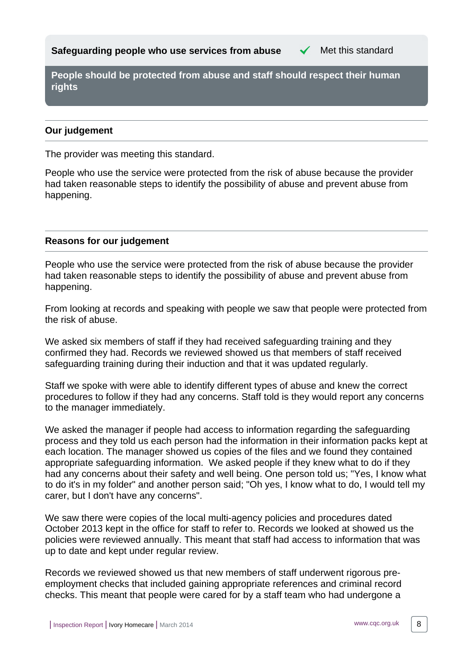<span id="page-7-0"></span>**People should be protected from abuse and staff should respect their human rights**

### **Our judgement**

The provider was meeting this standard.

People who use the service were protected from the risk of abuse because the provider had taken reasonable steps to identify the possibility of abuse and prevent abuse from happening.

### **Reasons for our judgement**

People who use the service were protected from the risk of abuse because the provider had taken reasonable steps to identify the possibility of abuse and prevent abuse from happening.

From looking at records and speaking with people we saw that people were protected from the risk of abuse.

We asked six members of staff if they had received safeguarding training and they confirmed they had. Records we reviewed showed us that members of staff received safeguarding training during their induction and that it was updated regularly.

Staff we spoke with were able to identify different types of abuse and knew the correct procedures to follow if they had any concerns. Staff told is they would report any concerns to the manager immediately.

We asked the manager if people had access to information regarding the safeguarding process and they told us each person had the information in their information packs kept at each location. The manager showed us copies of the files and we found they contained appropriate safeguarding information. We asked people if they knew what to do if they had any concerns about their safety and well being. One person told us; "Yes, I know what to do it's in my folder" and another person said; "Oh yes, I know what to do, I would tell my carer, but I don't have any concerns".

We saw there were copies of the local multi-agency policies and procedures dated October 2013 kept in the office for staff to refer to. Records we looked at showed us the policies were reviewed annually. This meant that staff had access to information that was up to date and kept under regular review.

Records we reviewed showed us that new members of staff underwent rigorous preemployment checks that included gaining appropriate references and criminal record checks. This meant that people were cared for by a staff team who had undergone a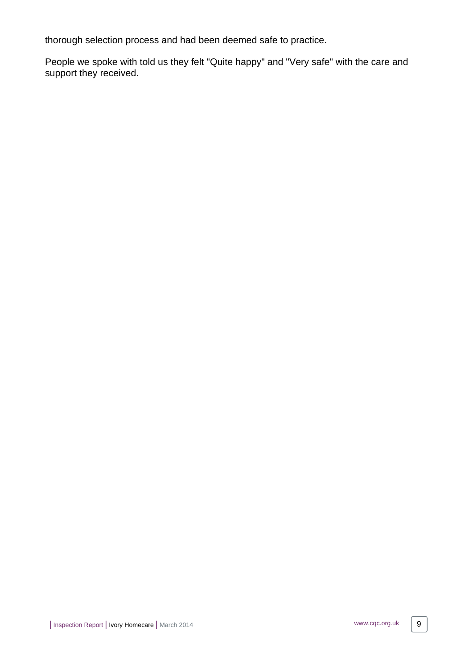thorough selection process and had been deemed safe to practice.

People we spoke with told us they felt "Quite happy" and "Very safe" with the care and support they received.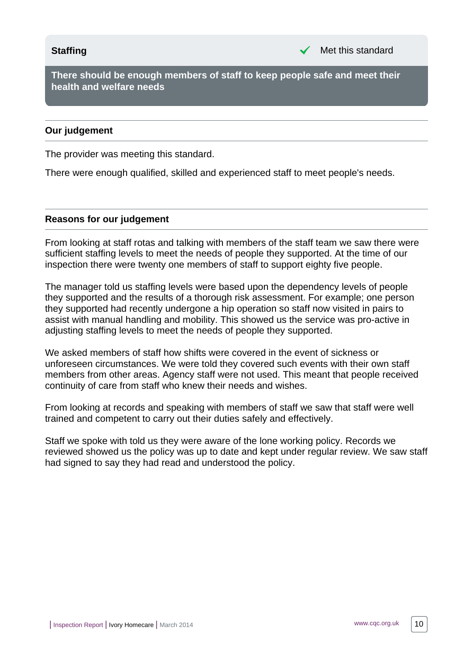<span id="page-9-0"></span>**There should be enough members of staff to keep people safe and meet their health and welfare needs**

#### **Our judgement**

The provider was meeting this standard.

There were enough qualified, skilled and experienced staff to meet people's needs.

#### **Reasons for our judgement**

From looking at staff rotas and talking with members of the staff team we saw there were sufficient staffing levels to meet the needs of people they supported. At the time of our inspection there were twenty one members of staff to support eighty five people.

The manager told us staffing levels were based upon the dependency levels of people they supported and the results of a thorough risk assessment. For example; one person they supported had recently undergone a hip operation so staff now visited in pairs to assist with manual handling and mobility. This showed us the service was pro-active in adjusting staffing levels to meet the needs of people they supported.

We asked members of staff how shifts were covered in the event of sickness or unforeseen circumstances. We were told they covered such events with their own staff members from other areas. Agency staff were not used. This meant that people received continuity of care from staff who knew their needs and wishes.

From looking at records and speaking with members of staff we saw that staff were well trained and competent to carry out their duties safely and effectively.

Staff we spoke with told us they were aware of the lone working policy. Records we reviewed showed us the policy was up to date and kept under regular review. We saw staff had signed to say they had read and understood the policy.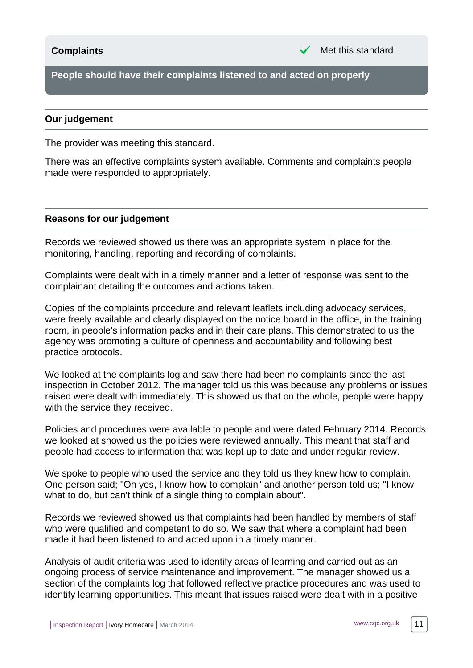<span id="page-10-0"></span>**People should have their complaints listened to and acted on properly**

#### **Our judgement**

The provider was meeting this standard.

There was an effective complaints system available. Comments and complaints people made were responded to appropriately.

#### **Reasons for our judgement**

Records we reviewed showed us there was an appropriate system in place for the monitoring, handling, reporting and recording of complaints.

Complaints were dealt with in a timely manner and a letter of response was sent to the complainant detailing the outcomes and actions taken.

Copies of the complaints procedure and relevant leaflets including advocacy services, were freely available and clearly displayed on the notice board in the office, in the training room, in people's information packs and in their care plans. This demonstrated to us the agency was promoting a culture of openness and accountability and following best practice protocols.

We looked at the complaints log and saw there had been no complaints since the last inspection in October 2012. The manager told us this was because any problems or issues raised were dealt with immediately. This showed us that on the whole, people were happy with the service they received.

Policies and procedures were available to people and were dated February 2014. Records we looked at showed us the policies were reviewed annually. This meant that staff and people had access to information that was kept up to date and under regular review.

We spoke to people who used the service and they told us they knew how to complain. One person said; "Oh yes, I know how to complain" and another person told us; "I know what to do, but can't think of a single thing to complain about".

Records we reviewed showed us that complaints had been handled by members of staff who were qualified and competent to do so. We saw that where a complaint had been made it had been listened to and acted upon in a timely manner.

Analysis of audit criteria was used to identify areas of learning and carried out as an ongoing process of service maintenance and improvement. The manager showed us a section of the complaints log that followed reflective practice procedures and was used to identify learning opportunities. This meant that issues raised were dealt with in a positive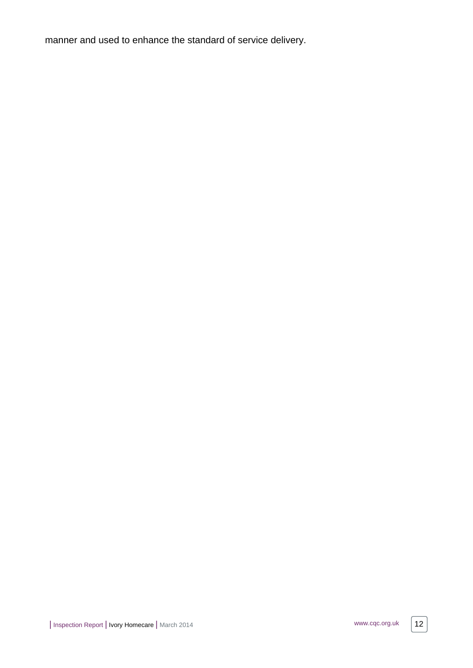manner and used to enhance the standard of service delivery.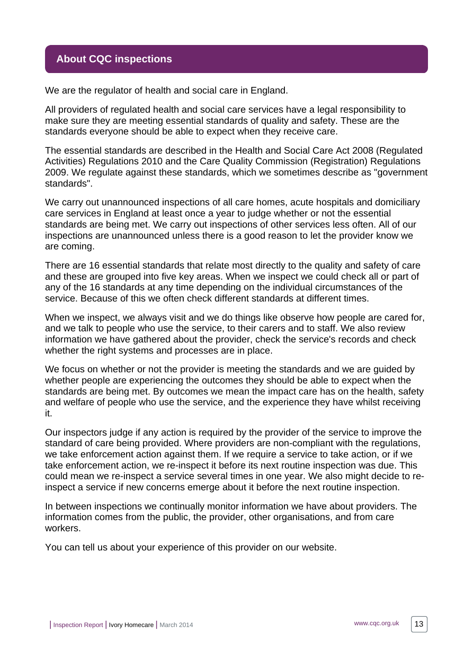# <span id="page-12-0"></span>**About CQC inspections**

We are the regulator of health and social care in England.

All providers of regulated health and social care services have a legal responsibility to make sure they are meeting essential standards of quality and safety. These are the standards everyone should be able to expect when they receive care.

The essential standards are described in the Health and Social Care Act 2008 (Regulated Activities) Regulations 2010 and the Care Quality Commission (Registration) Regulations 2009. We regulate against these standards, which we sometimes describe as "government standards".

We carry out unannounced inspections of all care homes, acute hospitals and domiciliary care services in England at least once a year to judge whether or not the essential standards are being met. We carry out inspections of other services less often. All of our inspections are unannounced unless there is a good reason to let the provider know we are coming.

There are 16 essential standards that relate most directly to the quality and safety of care and these are grouped into five key areas. When we inspect we could check all or part of any of the 16 standards at any time depending on the individual circumstances of the service. Because of this we often check different standards at different times.

When we inspect, we always visit and we do things like observe how people are cared for, and we talk to people who use the service, to their carers and to staff. We also review information we have gathered about the provider, check the service's records and check whether the right systems and processes are in place.

We focus on whether or not the provider is meeting the standards and we are guided by whether people are experiencing the outcomes they should be able to expect when the standards are being met. By outcomes we mean the impact care has on the health, safety and welfare of people who use the service, and the experience they have whilst receiving it.

Our inspectors judge if any action is required by the provider of the service to improve the standard of care being provided. Where providers are non-compliant with the regulations, we take enforcement action against them. If we require a service to take action, or if we take enforcement action, we re-inspect it before its next routine inspection was due. This could mean we re-inspect a service several times in one year. We also might decide to reinspect a service if new concerns emerge about it before the next routine inspection.

In between inspections we continually monitor information we have about providers. The information comes from the public, the provider, other organisations, and from care workers.

You can tell us about your experience of this provider on our website.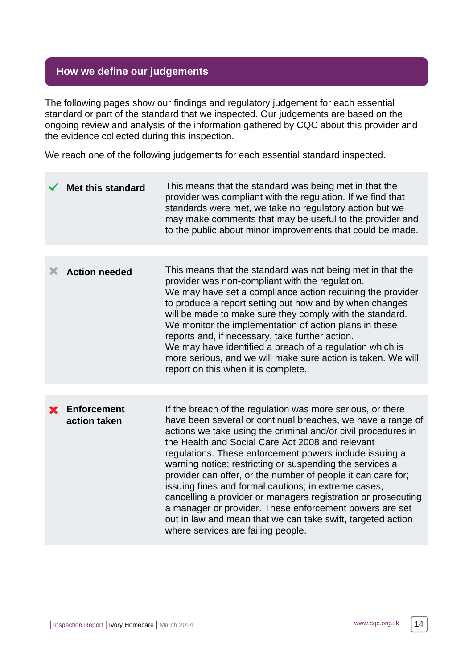# <span id="page-13-0"></span>**How we define our judgements**

The following pages show our findings and regulatory judgement for each essential standard or part of the standard that we inspected. Our judgements are based on the ongoing review and analysis of the information gathered by CQC about this provider and the evidence collected during this inspection.

We reach one of the following judgements for each essential standard inspected.

|   | <b>Met this standard</b>           | This means that the standard was being met in that the<br>provider was compliant with the regulation. If we find that<br>standards were met, we take no regulatory action but we<br>may make comments that may be useful to the provider and<br>to the public about minor improvements that could be made.                                                                                                                                                                                                                                                                                                                                                                                                                     |
|---|------------------------------------|--------------------------------------------------------------------------------------------------------------------------------------------------------------------------------------------------------------------------------------------------------------------------------------------------------------------------------------------------------------------------------------------------------------------------------------------------------------------------------------------------------------------------------------------------------------------------------------------------------------------------------------------------------------------------------------------------------------------------------|
|   |                                    |                                                                                                                                                                                                                                                                                                                                                                                                                                                                                                                                                                                                                                                                                                                                |
| Х | <b>Action needed</b>               | This means that the standard was not being met in that the<br>provider was non-compliant with the regulation.<br>We may have set a compliance action requiring the provider<br>to produce a report setting out how and by when changes<br>will be made to make sure they comply with the standard.<br>We monitor the implementation of action plans in these<br>reports and, if necessary, take further action.<br>We may have identified a breach of a regulation which is<br>more serious, and we will make sure action is taken. We will<br>report on this when it is complete.                                                                                                                                             |
|   |                                    |                                                                                                                                                                                                                                                                                                                                                                                                                                                                                                                                                                                                                                                                                                                                |
|   | <b>Enforcement</b><br>action taken | If the breach of the regulation was more serious, or there<br>have been several or continual breaches, we have a range of<br>actions we take using the criminal and/or civil procedures in<br>the Health and Social Care Act 2008 and relevant<br>regulations. These enforcement powers include issuing a<br>warning notice; restricting or suspending the services a<br>provider can offer, or the number of people it can care for;<br>issuing fines and formal cautions; in extreme cases,<br>cancelling a provider or managers registration or prosecuting<br>a manager or provider. These enforcement powers are set<br>out in law and mean that we can take swift, targeted action<br>where services are failing people. |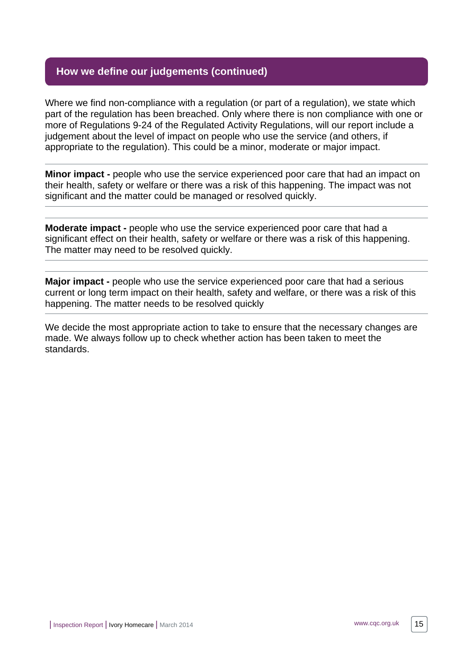# **How we define our judgements (continued)**

Where we find non-compliance with a regulation (or part of a regulation), we state which part of the regulation has been breached. Only where there is non compliance with one or more of Regulations 9-24 of the Regulated Activity Regulations, will our report include a judgement about the level of impact on people who use the service (and others, if appropriate to the regulation). This could be a minor, moderate or major impact.

**Minor impact -** people who use the service experienced poor care that had an impact on their health, safety or welfare or there was a risk of this happening. The impact was not significant and the matter could be managed or resolved quickly.

**Moderate impact -** people who use the service experienced poor care that had a significant effect on their health, safety or welfare or there was a risk of this happening. The matter may need to be resolved quickly.

**Major impact -** people who use the service experienced poor care that had a serious current or long term impact on their health, safety and welfare, or there was a risk of this happening. The matter needs to be resolved quickly

We decide the most appropriate action to take to ensure that the necessary changes are made. We always follow up to check whether action has been taken to meet the standards.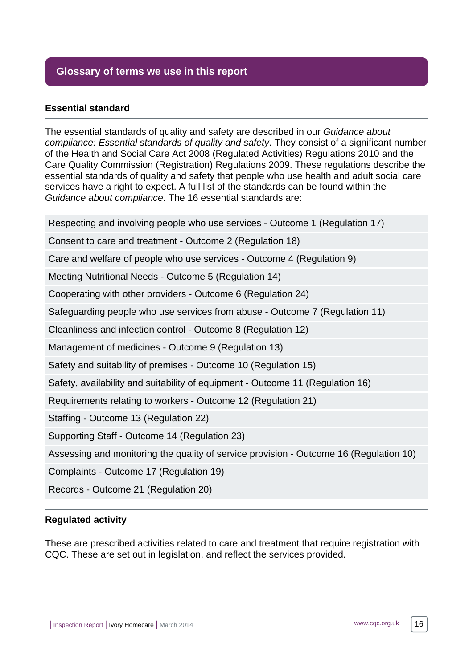# <span id="page-15-0"></span>**Glossary of terms we use in this report**

### **Essential standard**

The essential standards of quality and safety are described in our Guidance about compliance: Essential standards of quality and safety. They consist of a significant number of the Health and Social Care Act 2008 (Regulated Activities) Regulations 2010 and the Care Quality Commission (Registration) Regulations 2009. These regulations describe the essential standards of quality and safety that people who use health and adult social care services have a right to expect. A full list of the standards can be found within the Guidance about compliance. The 16 essential standards are:

Respecting and involving people who use services - Outcome 1 (Regulation 17)

Consent to care and treatment - Outcome 2 (Regulation 18)

Care and welfare of people who use services - Outcome 4 (Regulation 9)

Meeting Nutritional Needs - Outcome 5 (Regulation 14)

Cooperating with other providers - Outcome 6 (Regulation 24)

Safeguarding people who use services from abuse - Outcome 7 (Regulation 11)

Cleanliness and infection control - Outcome 8 (Regulation 12)

Management of medicines - Outcome 9 (Regulation 13)

Safety and suitability of premises - Outcome 10 (Regulation 15)

Safety, availability and suitability of equipment - Outcome 11 (Regulation 16)

Requirements relating to workers - Outcome 12 (Regulation 21)

Staffing - Outcome 13 (Regulation 22)

Supporting Staff - Outcome 14 (Regulation 23)

Assessing and monitoring the quality of service provision - Outcome 16 (Regulation 10)

Complaints - Outcome 17 (Regulation 19)

Records - Outcome 21 (Regulation 20)

#### **Regulated activity**

These are prescribed activities related to care and treatment that require registration with CQC. These are set out in legislation, and reflect the services provided.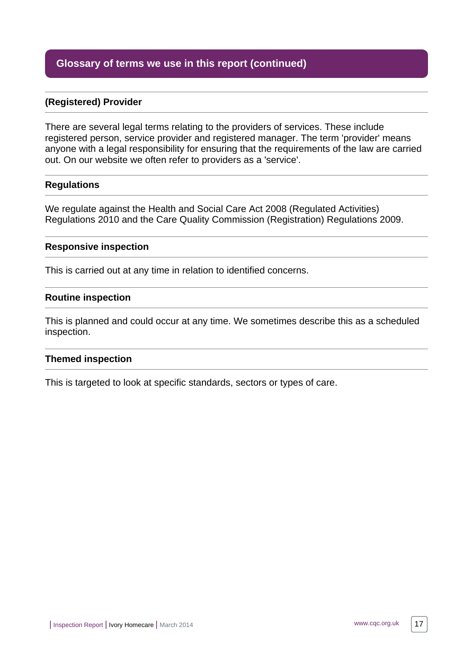# **Glossary of terms we use in this report (continued)**

#### **(Registered) Provider**

There are several legal terms relating to the providers of services. These include registered person, service provider and registered manager. The term 'provider' means anyone with a legal responsibility for ensuring that the requirements of the law are carried out. On our website we often refer to providers as a 'service'.

#### **Regulations**

We regulate against the Health and Social Care Act 2008 (Regulated Activities) Regulations 2010 and the Care Quality Commission (Registration) Regulations 2009.

#### **Responsive inspection**

This is carried out at any time in relation to identified concerns.

#### **Routine inspection**

This is planned and could occur at any time. We sometimes describe this as a scheduled inspection.

#### **Themed inspection**

This is targeted to look at specific standards, sectors or types of care.